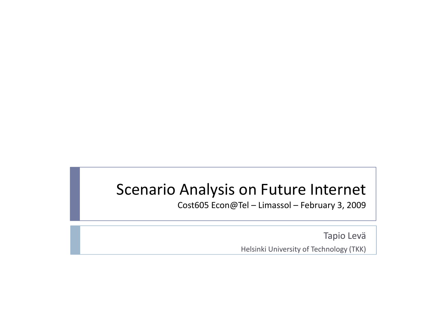### Scenario Analysis on Future Internet

Cost605 Econ@Tel – Limassol – February 3, 2009

Tapio LeväHelsinki University of Technology (TKK)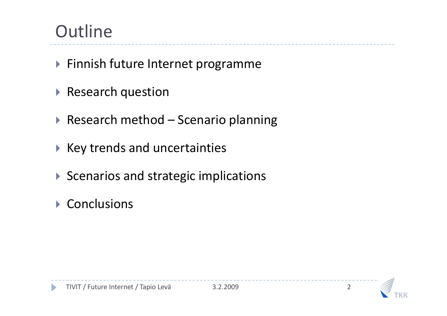# **Outline**

- Finnish future Internet programme
- **Research question**
- ▶ Research method Scenario planning
- $\blacktriangleright$  Key trends and uncertainties
- $\blacktriangleright$  Scenarios and strategic implications
- ▶ Conclusions

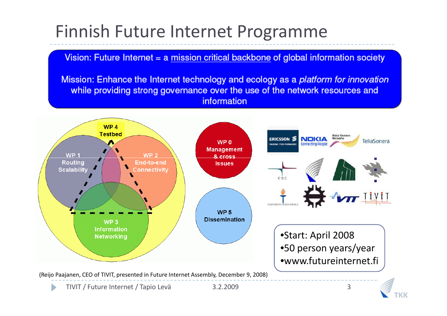# Finnish Future Internet Programme

Vision: Future Internet = a mission critical backbone of global information society

Mission: Enhance the Internet technology and ecology as a platform for innovation while providing strong governance over the use of the network resources and information

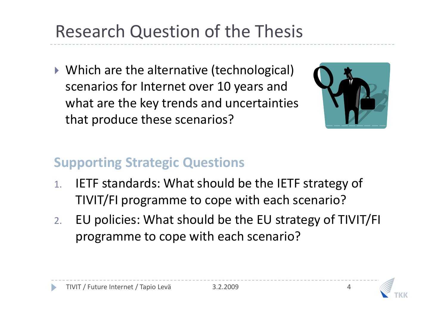# Research Question of the Thesis

▶ Which are the alternative (technological) scenarios for Internet over 10 years and what are the key trends and uncertainties that produce these scenarios?



#### **Supporting Strategic Questions**

- 1. IETF standards: What should be the IETF strategy ofTIVIT/FI programme to cope with each scenario?
- 2. EU policies: What should be the EU strategy of TIVIT/FI programme to cope with each scenario?



3.2.2009

4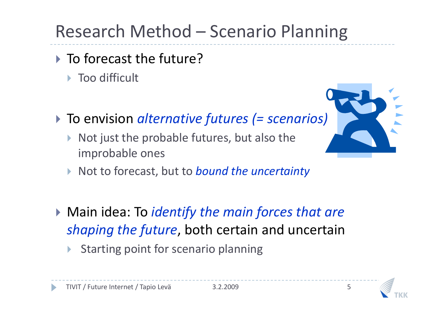# Research Method – Scenario Planning

- ▶ To forecast the future?
	- ▶ Too difficult
- To envision *alternative futures (= scenarios)*
	- $\blacktriangleright$  Not just the probable futures, but also the improbable ones



- ▶ Not to forecast, but to *bound the uncertainty*
- Main idea: To *identify the main forces that are shaping the future*, both certain and uncertain
	- $\blacktriangleright$ Starting point for scenario planning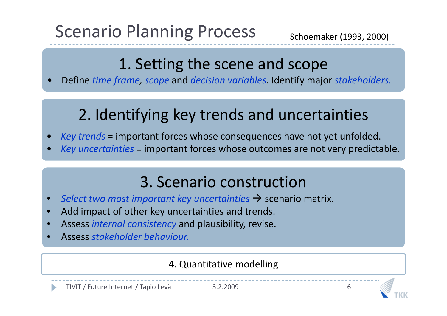# Scenario Planning Process

6

### 1. Setting the scene and scope

 Define *time frame, scope* and *decision variables.* Identify major *stakeholders.* •

# 2. Identifying key trends and uncertainties

- •*Key trends* = important forces whose consequences have not yet unfolded.
- •*Key uncertainties* = important forces whose outcomes are not very predictable.

### 3. Scenario construction

- **Select two most important key uncertainties**  $\rightarrow$  **scenario matrix.**<br> **Add impact of other key uncertainties and trends** •
- Add impact of other key uncertainties and trends. •
- •Assess *internal consistency* and plausibility, revise.
- •Assess *stakeholder behaviour.*

#### 4. Quantitative modelling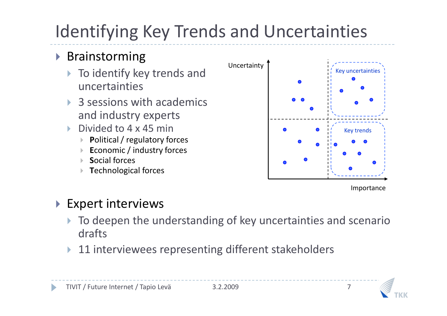# Identifying Key Trends and Uncertainties

### ▶ Brainstorming

- $\blacktriangleright$  To identify key trends and uncertainties
- $\blacktriangleright$  3 sessions with academics and industry experts
- $\blacktriangleright$  Divided to 4 x 45 min
	- $\blacktriangleright$ **P**olitical / regulatory forces
	- **E**conomic / industry forces $\blacktriangleright$
	- $\blacktriangleright$ **S**ocial forces
	- **T**echnological forces $\blacktriangleright$



Importance

#### $\blacktriangleright$  Expert interviews

- $\blacktriangleright$  To deepen the understanding of key uncertainties and scenario drafts
- $\blacktriangleright$ 11 interviewees representing different stakeholders

7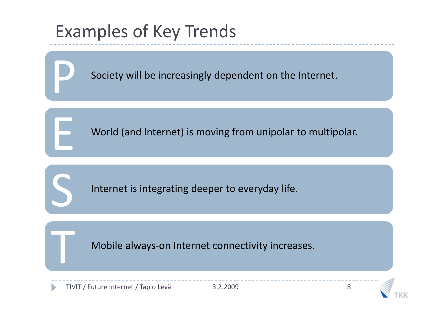# Examples of Key Trends

P

E

S

T

Society will be increasingly dependent on the Internet.

World (and Internet) is moving from unipolar to multipolar.

Internet is integrating deeper to everyday life.

Mobile always-on Internet connectivity increases.<br>
uture Internet / Tapio Levä 3.2.2009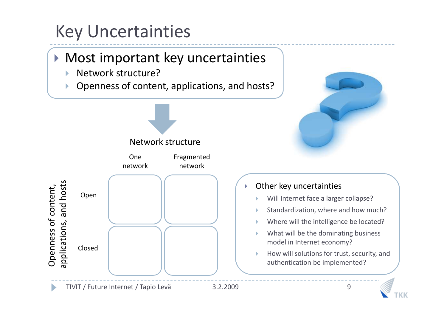# Key Uncertainties

## Most important key uncertainties

- $\blacktriangleright$ Network structure?
- **Denness of content, applications, and hosts?**  $\blacktriangleright$





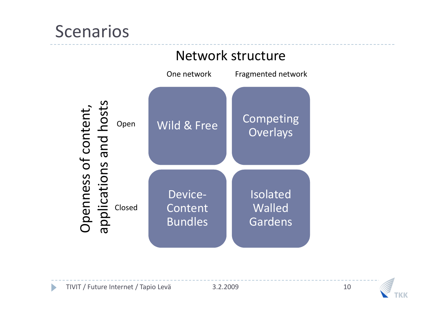# Scenarios



#### Network structure

 $\blacksquare$ 

 3.2.2009<sup>10</sup>